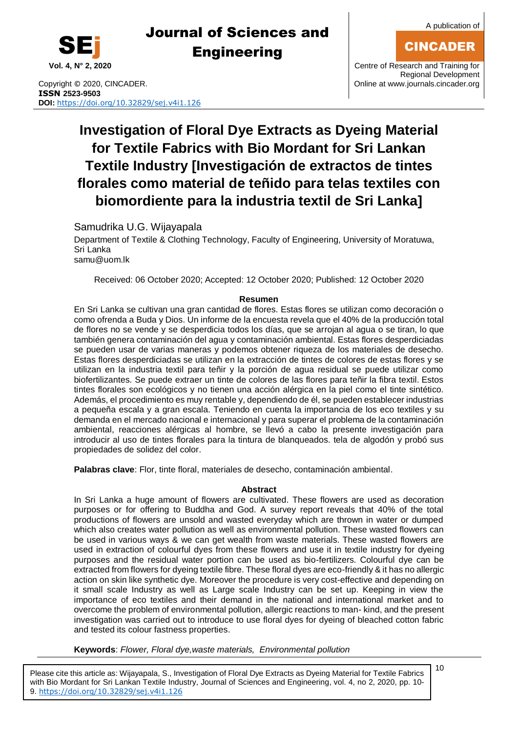

Copyright © 2020, CINCADER. COME CONSERVERSITY CONFIDENTIAL CONTRACT CONSERVERSITY Online a[t www.journals.cincader.org](http://www.journals.cincader.org/) **ISSN 2523-9503 DOI:** <https://doi.org/10.32829/sej.v4i1.126>

**Vol. 4, N° 2, 2020** Centre of Research and Training for Regional Development

# **Investigation of Floral Dye Extracts as Dyeing Material for Textile Fabrics with Bio Mordant for Sri Lankan Textile Industry [Investigación de extractos de tintes florales como material de teñido para telas textiles con biomordiente para la industria textil de Sri Lanka]**

Samudrika U.G. Wijayapala

Department of Textile & Clothing Technology, Faculty of Engineering, University of Moratuwa, Sri Lanka [samu@uom.lk](mailto:samu@uom.lk)

Received: 06 October 2020; Accepted: 12 October 2020; Published: 12 October 2020

#### **Resumen**

En Sri Lanka se cultivan una gran cantidad de flores. Estas flores se utilizan como decoración o como ofrenda a Buda y Dios. Un informe de la encuesta revela que el 40% de la producción total de flores no se vende y se desperdicia todos los días, que se arrojan al agua o se tiran, lo que también genera contaminación del agua y contaminación ambiental. Estas flores desperdiciadas se pueden usar de varias maneras y podemos obtener riqueza de los materiales de desecho. Estas flores desperdiciadas se utilizan en la extracción de tintes de colores de estas flores y se utilizan en la industria textil para teñir y la porción de agua residual se puede utilizar como biofertilizantes. Se puede extraer un tinte de colores de las flores para teñir la fibra textil. Estos tintes florales son ecológicos y no tienen una acción alérgica en la piel como el tinte sintético. Además, el procedimiento es muy rentable y, dependiendo de él, se pueden establecer industrias a pequeña escala y a gran escala. Teniendo en cuenta la importancia de los eco textiles y su demanda en el mercado nacional e internacional y para superar el problema de la contaminación ambiental, reacciones alérgicas al hombre, se llevó a cabo la presente investigación para introducir al uso de tintes florales para la tintura de blanqueados. tela de algodón y probó sus propiedades de solidez del color.

**Palabras clave**: Flor, tinte floral, materiales de desecho, contaminación ambiental.

#### **Abstract**

In Sri Lanka a huge amount of flowers are cultivated. These flowers are used as decoration purposes or for offering to Buddha and God. A survey report reveals that 40% of the total productions of flowers are unsold and wasted everyday which are thrown in water or dumped which also creates water pollution as well as environmental pollution. These wasted flowers can be used in various ways & we can get wealth from waste materials. These wasted flowers are used in extraction of colourful dyes from these flowers and use it in textile industry for dyeing purposes and the residual water portion can be used as bio-fertilizers. Colourful dye can be extracted from flowers for dyeing textile fibre. These floral dyes are eco-friendly & it has no allergic action on skin like synthetic dye. Moreover the procedure is very cost-effective and depending on it small scale Industry as well as Large scale Industry can be set up. Keeping in view the importance of eco textiles and their demand in the national and international market and to overcome the problem of environmental pollution, allergic reactions to man- kind, and the present investigation was carried out to introduce to use floral dyes for dyeing of bleached cotton fabric and tested its colour fastness properties.

**Keywords**: *Flower, Floral dye,waste materials, Environmental pollution*

Please cite this article as: Wijayapala, S., Investigation of Floral Dye Extracts as Dyeing Material for Textile Fabrics with Bio Mordant for Sri Lankan Textile Industry, Journal of Sciences and Engineering, vol. 4, no 2, 2020, pp. 10- 9. <https://doi.org/10.32829/sej.v4i1.126>

10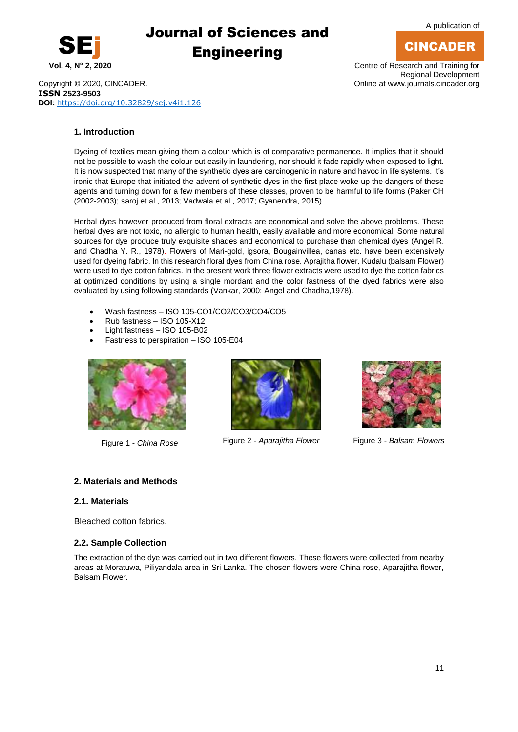

A publication of

## CINCADER

Copyright © 2020, CINCADER. COMEXANDER COPYRIGHT CONLINE 2020, CINCADER. **ISSN 2523-9503 DOI:** <https://doi.org/10.32829/sej.v4i1.126>

**Vol. 4, N° 2, 2020** Centre of Research and Training for Regional Development

#### **1. Introduction**

Dyeing of textiles mean giving them a colour which is of comparative permanence. It implies that it should not be possible to wash the colour out easily in laundering, nor should it fade rapidly when exposed to light. It is now suspected that many of the synthetic dyes are carcinogenic in nature and havoc in life systems. It's ironic that Europe that initiated the advent of synthetic dyes in the first place woke up the dangers of these agents and turning down for a few members of these classes, proven to be harmful to life forms (Paker CH (2002-2003); saroj et al., 2013; Vadwala et al., 2017; Gyanendra, 2015)

Herbal dyes however produced from floral extracts are economical and solve the above problems. These herbal dyes are not toxic, no allergic to human health, easily available and more economical. Some natural sources for dye produce truly exquisite shades and economical to purchase than chemical dyes (Angel R. and Chadha Y. R., 1978). Flowers of Mari-gold, igsora, Bougainvillea, canas etc. have been extensively used for dyeing fabric. In this research floral dyes from China rose, Aprajitha flower, Kudalu (balsam Flower) were used to dye cotton fabrics. In the present work three flower extracts were used to dye the cotton fabrics at optimized conditions by using a single mordant and the color fastness of the dyed fabrics were also evaluated by using following standards (Vankar, 2000; Angel and Chadha,1978).

- Wash fastness ISO 105-CO1/CO2/CO3/CO4/CO5
- Rub fastness ISO 105-X12
- Light fastness ISO 105-B02
- Fastness to perspiration ISO 105-E04





Figure 1 Figure 3 - *Balsam Flowers* - *China Rose* Figure 2 - *Aparajitha Flower*



#### **2. Materials and Methods**

#### **2.1. Materials**

Bleached cotton fabrics.

#### **2.2. Sample Collection**

The extraction of the dye was carried out in two different flowers. These flowers were collected from nearby areas at Moratuwa, Piliyandala area in Sri Lanka. The chosen flowers were China rose, Aparajitha flower, Balsam Flower.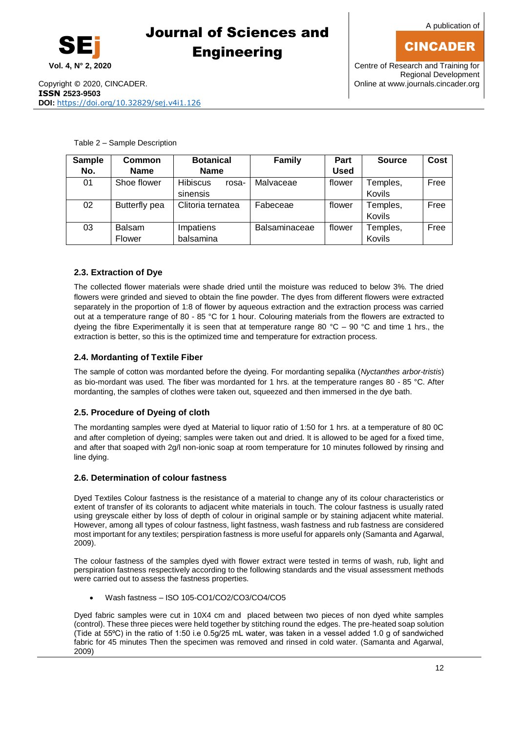CINCADER



## Journal of Sciences and **Engineering**

**Vol. 4, N° 2, 2020** Centre of Research and Training for Regional Development

Table 2 – Sample Description

| <b>Sample</b> | Common        | <b>Botanical</b>         | <b>Family</b> | Part        | <b>Source</b> | Cost |
|---------------|---------------|--------------------------|---------------|-------------|---------------|------|
| No.           | <b>Name</b>   | <b>Name</b>              |               | <b>Used</b> |               |      |
| 01            | Shoe flower   | <b>Hibiscus</b><br>rosa- | Malvaceae     | flower      | Temples,      | Free |
|               |               | sinensis                 |               |             | Kovils        |      |
| 02            | Butterfly pea | Clitoria ternatea        | Fabeceae      | flower      | Temples,      | Free |
|               |               |                          |               |             | Kovils        |      |
| 03            | Balsam        | Impatiens                | Balsaminaceae | flower      | Temples,      | Free |
|               | Flower        | balsamina                |               |             | Kovils        |      |

#### **2.3. Extraction of Dye**

The collected flower materials were shade dried until the moisture was reduced to below 3%. The dried flowers were grinded and sieved to obtain the fine powder. The dyes from different flowers were extracted separately in the proportion of 1:8 of flower by aqueous extraction and the extraction process was carried out at a temperature range of 80 - 85 °C for 1 hour. Colouring materials from the flowers are extracted to dyeing the fibre Experimentally it is seen that at temperature range 80  $^{\circ}$ C – 90  $^{\circ}$ C and time 1 hrs., the extraction is better, so this is the optimized time and temperature for extraction process.

#### **2.4. Mordanting of Textile Fiber**

The sample of cotton was mordanted before the dyeing. For mordanting sepalika (*Nyctanthes arbor-tristis*) as bio-mordant was used. The fiber was mordanted for 1 hrs. at the temperature ranges 80 - 85 °C. After mordanting, the samples of clothes were taken out, squeezed and then immersed in the dye bath.

#### **2.5. Procedure of Dyeing of cloth**

The mordanting samples were dyed at Material to liquor ratio of 1:50 for 1 hrs. at a temperature of 80 0C and after completion of dyeing; samples were taken out and dried. It is allowed to be aged for a fixed time, and after that soaped with 2g/l non-ionic soap at room temperature for 10 minutes followed by rinsing and line dying.

#### **2.6. Determination of colour fastness**

Dyed Textiles Colour fastness is the resistance of a material to change any of its colour characteristics or extent of transfer of its colorants to adjacent white materials in touch. The colour fastness is usually rated using greyscale either by loss of depth of colour in original sample or by staining adjacent white material. However, among all types of colour fastness, light fastness, wash fastness and rub fastness are considered most important for any textiles; perspiration fastness is more useful for apparels only (Samanta and Agarwal, 2009).

The colour fastness of the samples dyed with flower extract were tested in terms of wash, rub, light and perspiration fastness respectively according to the following standards and the visual assessment methods were carried out to assess the fastness properties.

Wash fastness – ISO 105-CO1/CO2/CO3/CO4/CO5

Dyed fabric samples were cut in 10X4 cm and placed between two pieces of non dyed white samples (control). These three pieces were held together by stitching round the edges. The pre-heated soap solution (Tide at 55⁰C) in the ratio of 1:50 i.e 0.5g/25 mL water, was taken in a vessel added 1.0 g of sandwiched fabric for 45 minutes Then the specimen was removed and rinsed in cold water. (Samanta and Agarwal, 2009)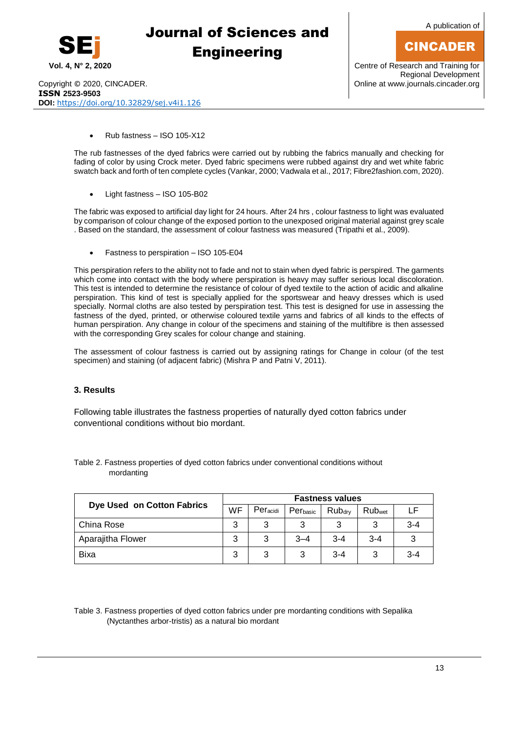

A publication of

## CINCADER

Copyright © 2020, CINCADER. COME CONSERVERSITY CONFIDENTIAL CONSERVERSITY Online a[t www.journals.cincader.org](http://www.journals.cincader.org/) **ISSN 2523-9503 DOI:** <https://doi.org/10.32829/sej.v4i1.126>

**Vol. 4, N° 2, 2020** Centre of Research and Training for Regional Development

Rub fastness – ISO 105-X12

The rub fastnesses of the dyed fabrics were carried out by rubbing the fabrics manually and checking for fading of color by using Crock meter. Dyed fabric specimens were rubbed against dry and wet white fabric swatch back and forth of ten complete cycles (Vankar, 2000; Vadwala et al., 2017; Fibre2fashion.com, 2020).

Light fastness – ISO 105-B02

The fabric was exposed to artificial day light for 24 hours. After 24 hrs , colour fastness to light was evaluated by comparison of colour change of the exposed portion to the unexposed original material against grey scale . Based on the standard, the assessment of colour fastness was measured (Tripathi et al., 2009).

Fastness to perspiration – ISO 105-E04

This perspiration refers to the ability not to fade and not to stain when dyed fabric is perspired. The garments which come into contact with the body where perspiration is heavy may suffer serious local discoloration. This test is intended to determine the resistance of colour of dyed textile to the action of acidic and alkaline perspiration. This kind of test is specially applied for the sportswear and heavy dresses which is used specially. Normal cloths are also tested by perspiration test. This test is designed for use in assessing the fastness of the dyed, printed, or otherwise coloured [textile yarns](http://textilecourse.blogspot.com/2018/04/classification-yarn-faults.html) and fabrics of all kinds to the effects of human perspiration. Any change in colour of the specimens and staining of the multifibre is then assessed with the corresponding Grey scales for colour change and staining.

The assessment of colour fastness is carried out by assigning ratings for Change in colour (of the test specimen) and staining (of adjacent fabric) (Mishra P and Patni V, 2011).

#### **3. Results**

Following table illustrates the fastness properties of naturally dyed cotton fabrics under conventional conditions without bio mordant.

| Dye Used on Cotton Fabrics |   | <b>Fastness values</b> |          |                    |                    |         |  |  |  |
|----------------------------|---|------------------------|----------|--------------------|--------------------|---------|--|--|--|
|                            |   | Peracidi               | Perbasic | Rub <sub>dry</sub> | Rub <sub>wet</sub> | l F     |  |  |  |
| China Rose                 | 3 | 3                      | 3        | 3                  | ີ                  | $3 - 4$ |  |  |  |
| Aparajitha Flower          | 3 | 3                      | $3 - 4$  | $3 - 4$            | $3 - 4$            |         |  |  |  |
| Bixa                       | 3 | 3                      | 3        | $3 - 4$            | 3                  | $3 - 4$ |  |  |  |

Table 2. Fastness properties of dyed cotton fabrics under conventional conditions without mordanting

Table 3. Fastness properties of dyed cotton fabrics under pre mordanting conditions with Sepalika (Nyctanthes arbor-tristis) as a natural bio mordant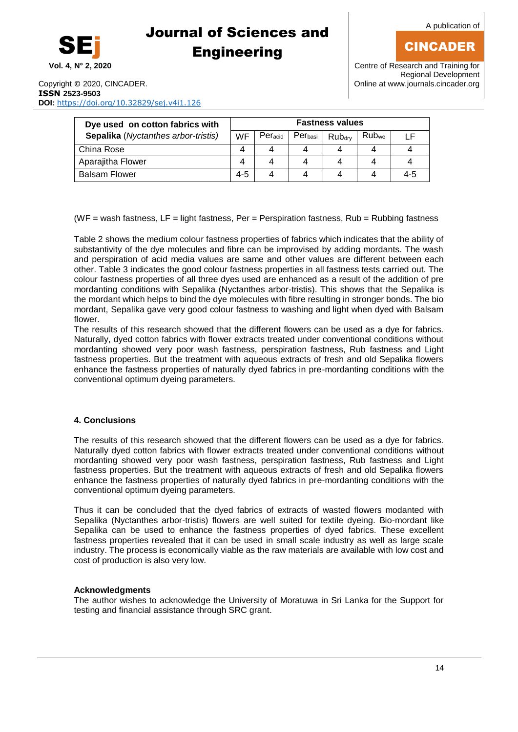CINCADER

# SEj

## Journal of Sciences and **Engineering**

**Vol. 4, N° 2, 2020** Centre of Research and Training for Regional Development

Copyright © 2020, CINCADER. COME CONSERVERSITY CONTROL CONTROL CONTROL CONTROL CONTROL CONTROL CONTROL CONTROL CONTROL CONTROL CONTROL CONTROL CONTROL CONTROL CONTROL CONTROL CONTROL CONTROL CONTROL CONTROL CONTROL CONTROL **ISSN 2523-9503 DOI:** <https://doi.org/10.32829/sej.v4i1.126>

| Dye used on cotton fabrics with     |           | <b>Fastness values</b> |                     |                    |                   |     |  |  |
|-------------------------------------|-----------|------------------------|---------------------|--------------------|-------------------|-----|--|--|
| Sepalika (Nyctanthes arbor-tristis) | <b>WF</b> | Peracid                | Per <sub>basi</sub> | Rub <sub>drv</sub> | Rub <sub>we</sub> |     |  |  |
| China Rose                          |           |                        |                     |                    |                   |     |  |  |
| Aparajitha Flower                   |           |                        |                     |                    |                   |     |  |  |
| <b>Balsam Flower</b>                | $4 - 5$   |                        |                     |                    |                   | 4-5 |  |  |

(WF = wash fastness,  $LF =$  light fastness, Per = Perspiration fastness, Rub = Rubbing fastness

Table 2 shows the medium colour fastness properties of fabrics which indicates that the ability of substantivity of the dye molecules and fibre can be improvised by adding mordants. The wash and perspiration of acid media values are same and other values are different between each other. Table 3 indicates the good colour fastness properties in all fastness tests carried out. The colour fastness properties of all three dyes used are enhanced as a result of the addition of pre mordanting conditions with Sepalika (Nyctanthes arbor-tristis). This shows that the Sepalika is the mordant which helps to bind the dye molecules with fibre resulting in stronger bonds. The bio mordant, Sepalika gave very good colour fastness to washing and light when dyed with Balsam flower.

The results of this research showed that the different flowers can be used as a dye for fabrics. Naturally, dyed cotton fabrics with flower extracts treated under conventional conditions without mordanting showed very poor wash fastness, perspiration fastness, Rub fastness and Light fastness properties. But the treatment with aqueous extracts of fresh and old Sepalika flowers enhance the fastness properties of naturally dyed fabrics in pre-mordanting conditions with the conventional optimum dyeing parameters.

#### **4. Conclusions**

The results of this research showed that the different flowers can be used as a dye for fabrics. Naturally dyed cotton fabrics with flower extracts treated under conventional conditions without mordanting showed very poor wash fastness, perspiration fastness, Rub fastness and Light fastness properties. But the treatment with aqueous extracts of fresh and old Sepalika flowers enhance the fastness properties of naturally dyed fabrics in pre-mordanting conditions with the conventional optimum dyeing parameters.

Thus it can be concluded that the dyed fabrics of extracts of wasted flowers modanted with Sepalika (Nyctanthes arbor-tristis) flowers are well suited for textile dyeing. Bio-mordant like Sepalika can be used to enhance the fastness properties of dyed fabrics. These excellent fastness properties revealed that it can be used in small scale industry as well as large scale industry. The process is economically viable as the raw materials are available with low cost and cost of production is also very low.

#### **Acknowledgments**

The author wishes to acknowledge the University of Moratuwa in Sri Lanka for the Support for testing and financial assistance through SRC grant.